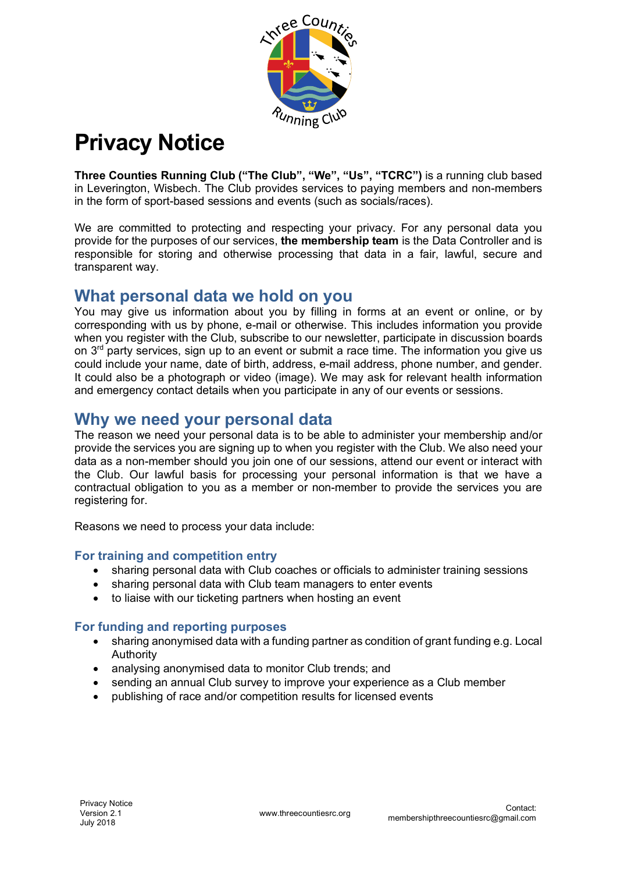

# **Privacy Notice**

**Three Counties Running Club ("The Club", "We", "Us", "TCRC")** is a running club based in Leverington, Wisbech. The Club provides services to paying members and non-members in the form of sport-based sessions and events (such as socials/races).

We are committed to protecting and respecting your privacy. For any personal data you provide for the purposes of our services, **the membership team** is the Data Controller and is responsible for storing and otherwise processing that data in a fair, lawful, secure and transparent way.

### **What personal data we hold on you**

You may give us information about you by filling in forms at an event or online, or by corresponding with us by phone, e-mail or otherwise. This includes information you provide when you register with the Club, subscribe to our newsletter, participate in discussion boards on  $3<sup>rd</sup>$  party services, sign up to an event or submit a race time. The information you give us could include your name, date of birth, address, e-mail address, phone number, and gender. It could also be a photograph or video (image). We may ask for relevant health information and emergency contact details when you participate in any of our events or sessions.

### **Why we need your personal data**

The reason we need your personal data is to be able to administer your membership and/or provide the services you are signing up to when you register with the Club. We also need your data as a non-member should you join one of our sessions, attend our event or interact with the Club. Our lawful basis for processing your personal information is that we have a contractual obligation to you as a member or non-member to provide the services you are registering for.

Reasons we need to process your data include:

### **For training and competition entry**

- sharing personal data with Club coaches or officials to administer training sessions
- sharing personal data with Club team managers to enter events
- to liaise with our ticketing partners when hosting an event

#### **For funding and reporting purposes**

- sharing anonymised data with a funding partner as condition of grant funding e.g. Local Authority
- analysing anonymised data to monitor Club trends; and
- sending an annual Club survey to improve your experience as a Club member
- publishing of race and/or competition results for licensed events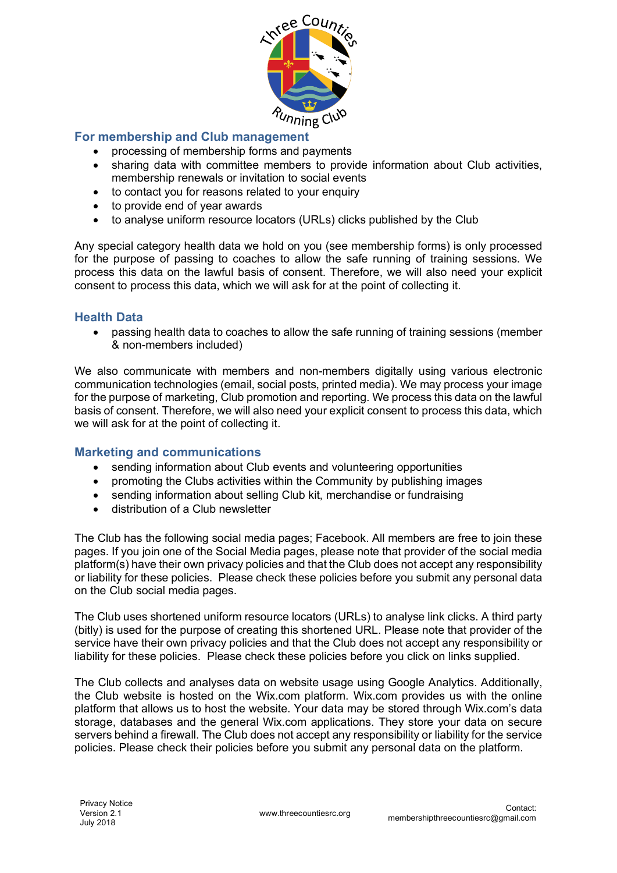

### **For membership and Club management**

- processing of membership forms and payments
- sharing data with committee members to provide information about Club activities, membership renewals or invitation to social events
- to contact you for reasons related to your enquiry
- to provide end of year awards
- to analyse uniform resource locators (URLs) clicks published by the Club

Any special category health data we hold on you (see membership forms) is only processed for the purpose of passing to coaches to allow the safe running of training sessions. We process this data on the lawful basis of consent. Therefore, we will also need your explicit consent to process this data, which we will ask for at the point of collecting it.

#### **Health Data**

• passing health data to coaches to allow the safe running of training sessions (member & non-members included)

We also communicate with members and non-members digitally using various electronic communication technologies (email, social posts, printed media). We may process your image for the purpose of marketing, Club promotion and reporting. We process this data on the lawful basis of consent. Therefore, we will also need your explicit consent to process this data, which we will ask for at the point of collecting it.

#### **Marketing and communications**

- sending information about Club events and volunteering opportunities
- promoting the Clubs activities within the Community by publishing images
- sending information about selling Club kit, merchandise or fundraising
- distribution of a Club newsletter

The Club has the following social media pages; Facebook. All members are free to join these pages. If you join one of the Social Media pages, please note that provider of the social media platform(s) have their own privacy policies and that the Club does not accept any responsibility or liability for these policies. Please check these policies before you submit any personal data on the Club social media pages.

The Club uses shortened uniform resource locators (URLs) to analyse link clicks. A third party (bitly) is used for the purpose of creating this shortened URL. Please note that provider of the service have their own privacy policies and that the Club does not accept any responsibility or liability for these policies. Please check these policies before you click on links supplied.

The Club collects and analyses data on website usage using Google Analytics. Additionally, the Club website is hosted on the Wix.com platform. Wix.com provides us with the online platform that allows us to host the website. Your data may be stored through Wix.com's data storage, databases and the general Wix.com applications. They store your data on secure servers behind a firewall. The Club does not accept any responsibility or liability for the service policies. Please check their policies before you submit any personal data on the platform.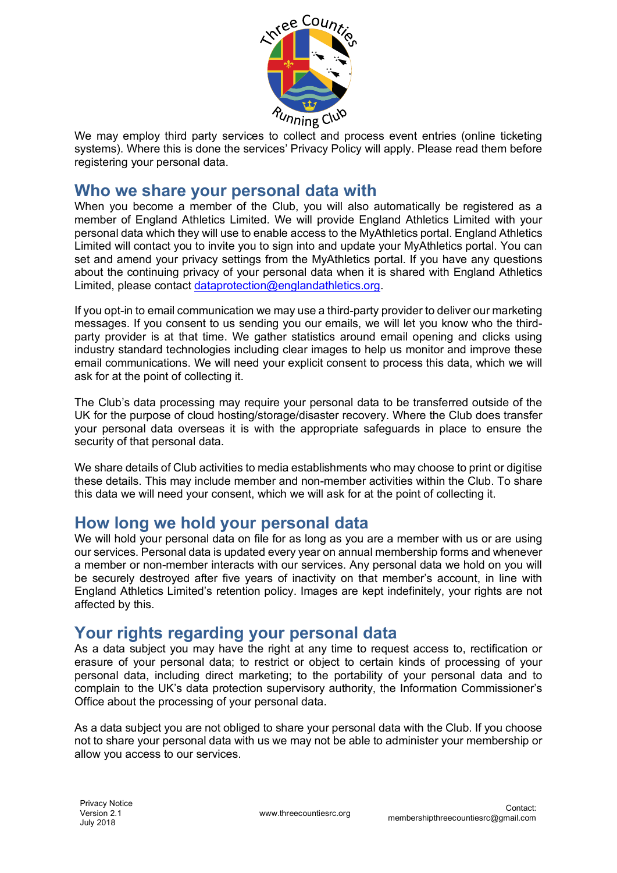

We may employ third party services to collect and process event entries (online ticketing systems). Where this is done the services' Privacy Policy will apply. Please read them before registering your personal data.

### **Who we share your personal data with**

When you become a member of the Club, you will also automatically be registered as a member of England Athletics Limited. We will provide England Athletics Limited with your personal data which they will use to enable access to the MyAthletics portal. England Athletics Limited will contact you to invite you to sign into and update your MyAthletics portal. You can set and amend your privacy settings from the MyAthletics portal. If you have any questions about the continuing privacy of your personal data when it is shared with England Athletics Limited, please contact dataprotection@englandathletics.org.

If you opt-in to email communication we may use a third-party provider to deliver our marketing messages. If you consent to us sending you our emails, we will let you know who the thirdparty provider is at that time. We gather statistics around email opening and clicks using industry standard technologies including clear images to help us monitor and improve these email communications. We will need your explicit consent to process this data, which we will ask for at the point of collecting it.

The Club's data processing may require your personal data to be transferred outside of the UK for the purpose of cloud hosting/storage/disaster recovery. Where the Club does transfer your personal data overseas it is with the appropriate safeguards in place to ensure the security of that personal data.

We share details of Club activities to media establishments who may choose to print or digitise these details. This may include member and non-member activities within the Club. To share this data we will need your consent, which we will ask for at the point of collecting it.

### **How long we hold your personal data**

We will hold your personal data on file for as long as you are a member with us or are using our services. Personal data is updated every year on annual membership forms and whenever a member or non-member interacts with our services. Any personal data we hold on you will be securely destroyed after five years of inactivity on that member's account, in line with England Athletics Limited's retention policy. Images are kept indefinitely, your rights are not affected by this.

# **Your rights regarding your personal data**

As a data subject you may have the right at any time to request access to, rectification or erasure of your personal data; to restrict or object to certain kinds of processing of your personal data, including direct marketing; to the portability of your personal data and to complain to the UK's data protection supervisory authority, the Information Commissioner's Office about the processing of your personal data.

As a data subject you are not obliged to share your personal data with the Club. If you choose not to share your personal data with us we may not be able to administer your membership or allow you access to our services.